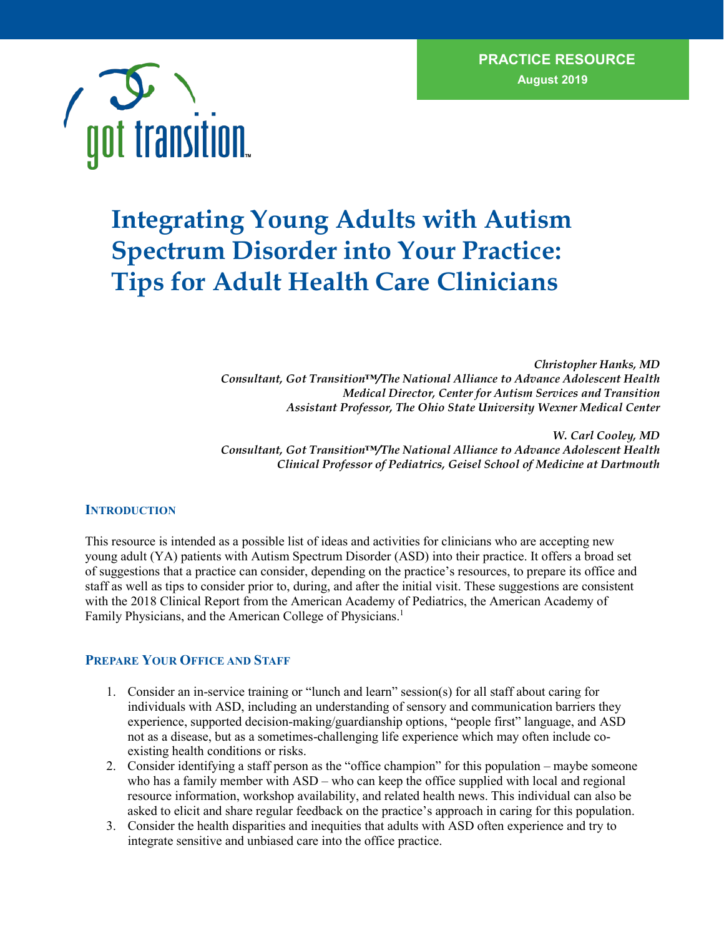$\mathcal{N}(\mathcal{A})$ 



# **Integrating Young Adults with Autism Spectrum Disorder into Your Practice: Tips for Adult Health Care Clinicians**

*Christopher Hanks, MD Consultant, Got Transition™/The National Alliance to Advance Adolescent Health Medical Director, Center for Autism Services and Transition Assistant Professor, The Ohio State University Wexner Medical Center*

*W. Carl Cooley, MD Consultant, Got Transition™/The National Alliance to Advance Adolescent Health Clinical Professor of Pediatrics, Geisel School of Medicine at Dartmouth*

#### **INTRODUCTION**

This resource is intended as a possible list of ideas and activities for clinicians who are accepting new young adult (YA) patients with Autism Spectrum Disorder (ASD) into their practice. It offers a broad set of suggestions that a practice can consider, depending on the practice's resources, to prepare its office and staff as well as tips to consider prior to, during, and after the initial visit. These suggestions are consistent with the 2018 Clinical Report from the American Academy of Pediatrics, the American Academy of Family Physicians, and the American College of Physicians. 1

## **PREPARE YOUR OFFICE AND STAFF**

- 1. Consider an in-service training or "lunch and learn" session(s) for all staff about caring for individuals with ASD, including an understanding of sensory and communication barriers they experience, supported decision-making/guardianship options, "people first" language, and ASD not as a disease, but as a sometimes-challenging life experience which may often include coexisting health conditions or risks.
- 2. Consider identifying a staff person as the "office champion" for this population maybe someone who has a family member with ASD – who can keep the office supplied with local and regional resource information, workshop availability, and related health news. This individual can also be asked to elicit and share regular feedback on the practice's approach in caring for this population.
- 3. Consider the health disparities and inequities that adults with ASD often experience and try to integrate sensitive and unbiased care into the office practice.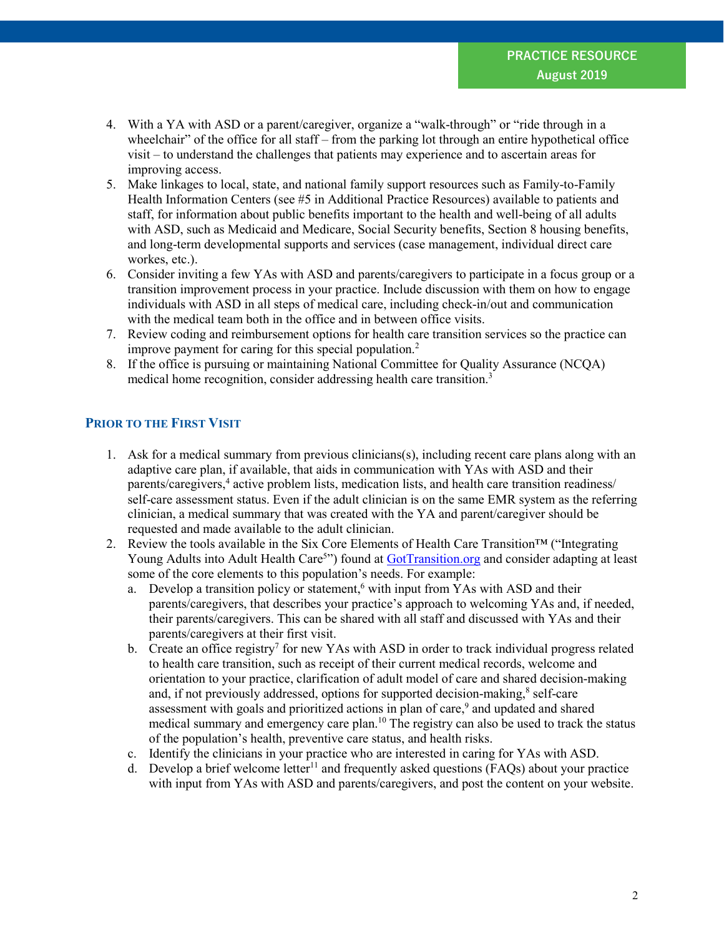- 4. With a YA with ASD or a parent/caregiver, organize a "walk-through" or "ride through in a wheelchair" of the office for all staff – from the parking lot through an entire hypothetical office visit – to understand the challenges that patients may experience and to ascertain areas for improving access.
- 5. Make linkages to local, state, and national family support resources such as Family-to-Family Health Information Centers (see #5 in Additional Practice Resources) available to patients and staff, for information about public benefits important to the health and well-being of all adults with ASD, such as Medicaid and Medicare, Social Security benefits, Section 8 housing benefits, and long-term developmental supports and services (case management, individual direct care workes, etc.).
- 6. Consider inviting a few YAs with ASD and parents/caregivers to participate in a focus group or a transition improvement process in your practice. Include discussion with them on how to engage individuals with ASD in all steps of medical care, including check-in/out and communication with the medical team both in the office and in between office visits.
- 7. Review coding and reimbursement options for health care transition services so the practice can improve payment for caring for this special population. 2
- 8. If the office is pursuing or maintaining National Committee for Quality Assurance (NCQA) medical home recognition, consider addressing health care transition.<sup>3</sup>

## **PRIOR TO THE FIRST VISIT**

- 1. Ask for a medical summary from previous clinicians(s), including recent care plans along with an adaptive care plan, if available, that aids in communication with YAs with ASD and their parents/caregivers, <sup>4</sup> active problem lists, medication lists, and health care transition readiness/ self-care assessment status. Even if the adult clinician is on the same EMR system as the referring clinician, a medical summary that was created with the YA and parent/caregiver should be requested and made available to the adult clinician.
- 2. Review the tools available in the Six Core Elements of Health Care Transition™ ("Integrating Young Adults into Adult Health Care<sup>5</sup>") found at **GotTransition.org** and consider adapting at least some of the core elements to this population's needs. For example:
	- a. Develop a transition policy or statement,<sup>6</sup> with input from YAs with ASD and their parents/caregivers, that describes your practice's approach to welcoming YAs and, if needed, their parents/caregivers. This can be shared with all staff and discussed with YAs and their parents/caregivers at their first visit.
	- b. Create an office registry<sup>7</sup> for new YAs with ASD in order to track individual progress related to health care transition, such as receipt of their current medical records, welcome and orientation to your practice, clarification of adult model of care and shared decision-making and, if not previously addressed, options for supported decision-making,<sup>8</sup> self-care assessment with goals and prioritized actions in plan of care,<sup>9</sup> and updated and shared medical summary and emergency care plan.<sup>10</sup> The registry can also be used to track the status of the population's health, preventive care status, and health risks.
	- c. Identify the clinicians in your practice who are interested in caring for YAs with ASD.
	- d. Develop a brief welcome letter<sup>11</sup> and frequently asked questions ( $FAQs$ ) about your practice with input from YAs with ASD and parents/caregivers, and post the content on your website.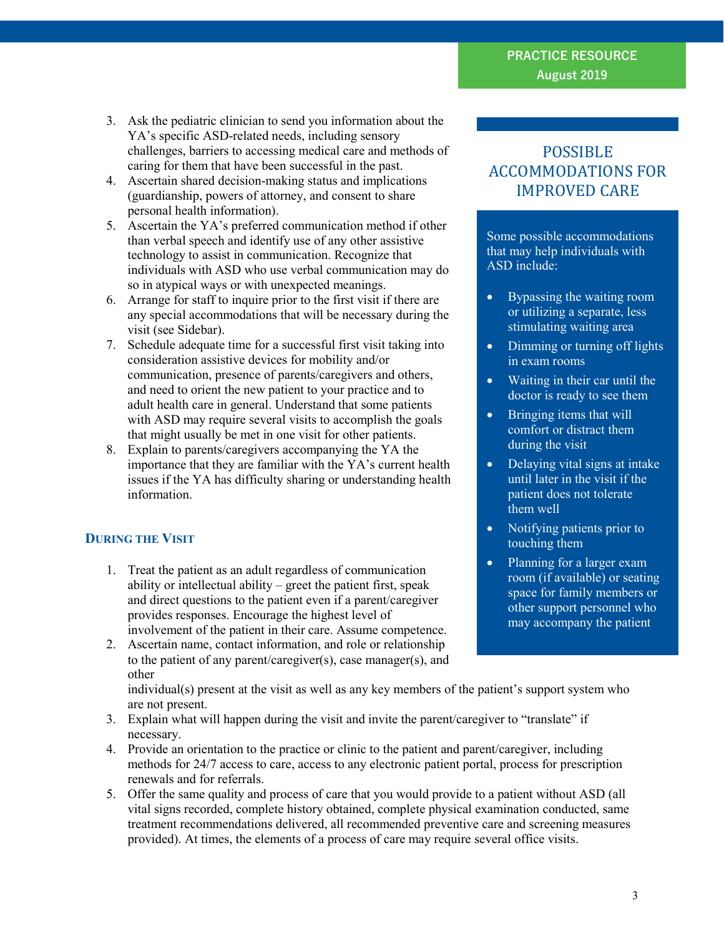## **PRACTICE RESOURCE August 2019**

- 3. Ask the pediatric clinician to send you information about the YA's specific ASD-related needs, including sensory challenges, barriers to accessing medical care and methods of caring for them that have been successful in the past.
- 4. Ascertain shared decision-making status and implications (guardianship, powers of attorney, and consent to share personal health information).
- 5. Ascertain the YA's preferred communication method if other than verbal speech and identify use of any other assistive technology to assist in communication. Recognize that individuals with ASD who use verbal communication may do so in atypical ways or with unexpected meanings.
- 6. Arrange for staff to inquire prior to the first visit if there are any special accommodations that will be necessary during the visit (see Sidebar).
- 7. Schedule adequate time for a successful first visit taking into consideration assistive devices for mobility and/or communication, presence of parents/caregivers and others, and need to orient the new patient to your practice and to adult health care in general. Understand that some patients with ASD may require several visits to accomplish the goals that might usually be met in one visit for other patients.
- 8. Explain to parents/caregivers accompanying the YA the importance that they are familiar with the YA's current health issues if the YA has difficulty sharing or understanding health information.

## **DURING THE VISIT**

- 1. Treat the patient as an adult regardless of communication ability or intellectual ability – greet the patient first, speak and direct questions to the patient even if a parent/caregiver provides responses. Encourage the highest level of involvement of the patient in their care. Assume competence.
- 2. Ascertain name, contact information, and role or relationship to the patient of any parent/caregiver(s), case manager(s), and other

individual(s) present at the visit as well as any key members of the patient's support system who are not present.

- 3. Explain what will happen during the visit and invite the parent/caregiver to "translate" if necessary.
- 4. Provide an orientation to the practice or clinic to the patient and parent/caregiver, including methods for 24/7 access to care, access to any electronic patient portal, process for prescription renewals and for referrals.
- 5. Offer the same quality and process of care that you would provide to a patient without ASD (all vital signs recorded, complete history obtained, complete physical examination conducted, same treatment recommendations delivered, all recommended preventive care and screening measures provided). At times, the elements of a process of care may require several office visits.

## POSSIBLE ACCOMMODATIONS FOR IMPROVED CARE

Some possible accommodations that may help individuals with ASD include:

- Bypassing the waiting room or utilizing a separate, less stimulating waiting area
- Dimming or turning off lights in exam rooms
- Waiting in their car until the doctor is ready to see them
- Bringing items that will comfort or distract them during the visit
- Delaying vital signs at intake until later in the visit if the patient does not tolerate them well
- Notifying patients prior to touching them
- Planning for a larger exam room (if available) or seating space for family members or other support personnel who may accompany the patient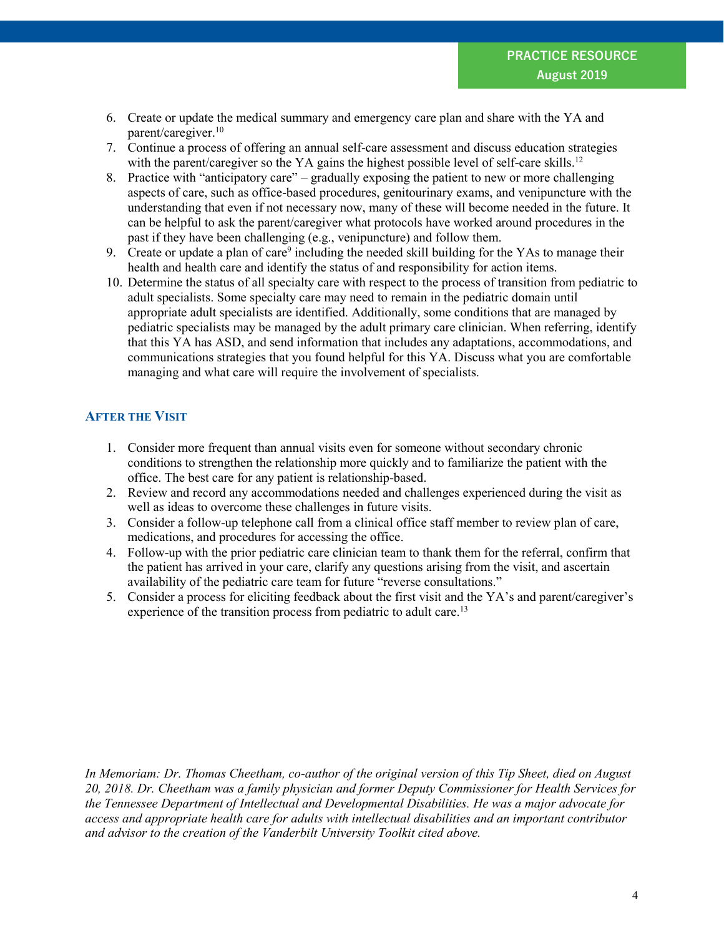- 6. Create or update the medical summary and emergency care plan and share with the YA and parent/caregiver. 10
- 7. Continue a process of offering an annual self-care assessment and discuss education strategies with the parent/caregiver so the YA gains the highest possible level of self-care skills.<sup>12</sup>
- 8. Practice with "anticipatory care" gradually exposing the patient to new or more challenging aspects of care, such as office-based procedures, genitourinary exams, and venipuncture with the understanding that even if not necessary now, many of these will become needed in the future. It can be helpful to ask the parent/caregiver what protocols have worked around procedures in the past if they have been challenging (e.g., venipuncture) and follow them.
- 9. Create or update a plan of care<sup>9</sup> including the needed skill building for the YAs to manage their health and health care and identify the status of and responsibility for action items.
- 10. Determine the status of all specialty care with respect to the process of transition from pediatric to adult specialists. Some specialty care may need to remain in the pediatric domain until appropriate adult specialists are identified. Additionally, some conditions that are managed by pediatric specialists may be managed by the adult primary care clinician. When referring, identify that this YA has ASD, and send information that includes any adaptations, accommodations, and communications strategies that you found helpful for this YA. Discuss what you are comfortable managing and what care will require the involvement of specialists.

## **AFTER THE VISIT**

- 1. Consider more frequent than annual visits even for someone without secondary chronic conditions to strengthen the relationship more quickly and to familiarize the patient with the office. The best care for any patient is relationship-based.
- 2. Review and record any accommodations needed and challenges experienced during the visit as well as ideas to overcome these challenges in future visits.
- 3. Consider a follow-up telephone call from a clinical office staff member to review plan of care, medications, and procedures for accessing the office.
- 4. Follow-up with the prior pediatric care clinician team to thank them for the referral, confirm that the patient has arrived in your care, clarify any questions arising from the visit, and ascertain availability of the pediatric care team for future "reverse consultations."
- 5. Consider a process for eliciting feedback about the first visit and the YA's and parent/caregiver's experience of the transition process from pediatric to adult care.<sup>13</sup>

*In Memoriam: Dr. Thomas Cheetham, co-author of the original version of this Tip Sheet, died on August 20, 2018. Dr. Cheetham was a family physician and former Deputy Commissioner for Health Services for the Tennessee Department of Intellectual and Developmental Disabilities. He was a major advocate for access and appropriate health care for adults with intellectual disabilities and an important contributor and advisor to the creation of the Vanderbilt University Toolkit cited above.*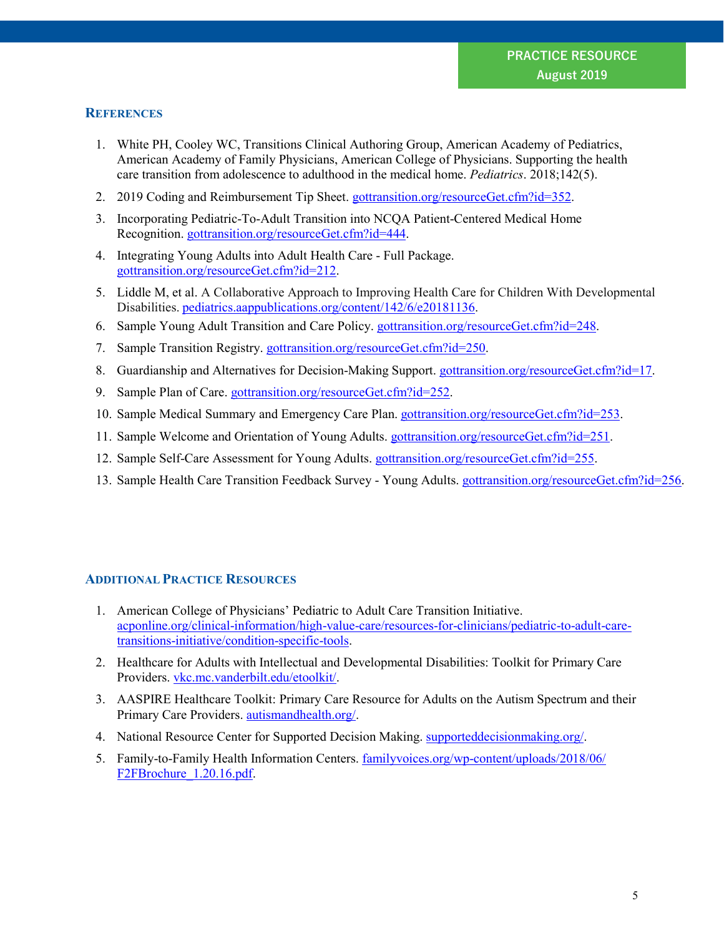#### **REFERENCES**

- 1. White PH, Cooley WC, Transitions Clinical Authoring Group, American Academy of Pediatrics, American Academy of Family Physicians, American College of Physicians. Supporting the health care transition from adolescence to adulthood in the medical home. *Pediatrics*. 2018;142(5).
- 2. 2019 Coding and Reimbursement Tip Sheet. gottransition.org/resourceGet.cfm?id=352.
- 3. Incorporating Pediatric-To-Adult Transition into NCQA Patient-Centered Medical Home Recognition. [gottransition.org/resourceGet.cfm?id=444.](https://www.gottransition.org/resourceGet.cfm?id=444)
- 4. Integrating Young Adults into Adult Health Care Full Package. [gottransition.org/resourceGet.cfm?id=212.](https://www.gottransition.org/resourceGet.cfm?id=212)
- 5. Liddle M, et al. A Collaborative Approach to Improving Health Care for Children With Developmental Disabilities. pediatrics.aappublications.org/content/142/6/e20181136.
- 6. Sample Young Adult Transition and Care Policy. gottransition.org/resourceGet.cfm?id=248.
- 7. Sample Transition Registry. [gottransition.org/resourceGet.cfm?id=250.](https://www.gottransition.org/resourceGet.cfm?id=250)
- 8. Guardianship and Alternatives for Decision-Making Support. [gottransition.org/resourceGet.cfm?id=17.](https://www.gottransition.org/resourceGet.cfm?id=17)
- 9. Sample Plan of Care. [gottransition.org/resourceGet.cfm?id=252.](https://www.gottransition.org/resourceGet.cfm?id=252)
- 10. Sample Medical Summary and Emergency Care Plan. [gottransition.org/resourceGet.cfm?id=253.](https://www.gottransition.org/resourceGet.cfm?id=253)
- 11. Sample Welcome and Orientation of Young Adults. [gottransition.org/resourceGet.cfm?id=251.](https://www.gottransition.org/resourceGet.cfm?id=251)
- 12. Sample Self-Care Assessment for Young Adults. [gottransition.org/resourceGet.cfm?id=255.](https://www.gottransition.org/resourceGet.cfm?id=255)
- 13. Sample Health Care Transition Feedback Survey Young Adults. [gottransition.org/resourceGet.cfm?id=256.](https://www.gottransition.org/resourceGet.cfm?id=256)

## **ADDITIONAL PRACTICE RESOURCES**

- 1. American College of Physicians' Pediatric to Adult Care Transition Initiative. [acponline.org/clinical-information/high-value-care/resources-for-clinicians/pediatric-to-adult-care](https://www.acponline.org/clinical-information/high-value-care/resources-for-clinicians/pediatric-to-adult-care-transitions-initiative/condition-specific-tools)[transitions-initiative/condition-specific-tools.](https://www.acponline.org/clinical-information/high-value-care/resources-for-clinicians/pediatric-to-adult-care-transitions-initiative/condition-specific-tools)
- 2. Healthcare for Adults with Intellectual and Developmental Disabilities: Toolkit for Primary Care Providers. [vkc.mc.vanderbilt.edu/etoolkit/.](https://vkc.mc.vanderbilt.edu/etoolkit/)
- 3. AASPIRE Healthcare Toolkit: Primary Care Resource for Adults on the Autism Spectrum and their Primary Care Providers. [autismandhealth.org/.](https://www.autismandhealth.org/)
- 4. National Resource Center for Supported Decision Making. [supporteddecisionmaking.org/.](http://supporteddecisionmaking.org/)
- 5. Family-to-Family Health Information Centers. [familyvoices.org/wp-content/uploads/2018/06/](http://familyvoices.org/wp-content/uploads/2018/06/F2FBrochure_1.20.16.pdf) [F2FBrochure\\_1.20.16.pdf.](http://familyvoices.org/wp-content/uploads/2018/06/F2FBrochure_1.20.16.pdf)